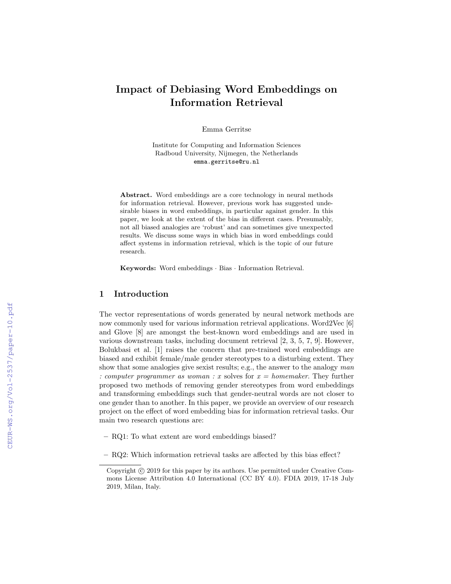# Impact of Debiasing Word Embeddings on Information Retrieval

Emma Gerritse

Institute for Computing and Information Sciences Radboud University, Nijmegen, the Netherlands emma.gerritse@ru.nl

Abstract. Word embeddings are a core technology in neural methods for information retrieval. However, previous work has suggested undesirable biases in word embeddings, in particular against gender. In this paper, we look at the extent of the bias in different cases. Presumably, not all biased analogies are 'robust' and can sometimes give unexpected results. We discuss some ways in which bias in word embeddings could affect systems in information retrieval, which is the topic of our future research.

Keywords: Word embeddings · Bias · Information Retrieval.

## 1 Introduction

The vector representations of words generated by neural network methods are now commonly used for various information retrieval applications. Word2Vec [6] and Glove [8] are amongst the best-known word embeddings and are used in various downstream tasks, including document retrieval [2, 3, 5, 7, 9]. However, Bolukbasi et al. [1] raises the concern that pre-trained word embeddings are biased and exhibit female/male gender stereotypes to a disturbing extent. They show that some analogies give sexist results; e.g., the answer to the analogy  $man$ : computer programmer as woman : x solves for  $x = \text{homemaker}$ . They further proposed two methods of removing gender stereotypes from word embeddings and transforming embeddings such that gender-neutral words are not closer to one gender than to another. In this paper, we provide an overview of our research project on the effect of word embedding bias for information retrieval tasks. Our main two research questions are:

- RQ1: To what extent are word embeddings biased?
- RQ2: Which information retrieval tasks are affected by this bias effect?

Copyright  $\odot$  2019 for this paper by its authors. Use permitted under Creative Commons License Attribution 4.0 International (CC BY 4.0). FDIA 2019, 17-18 July 2019, Milan, Italy.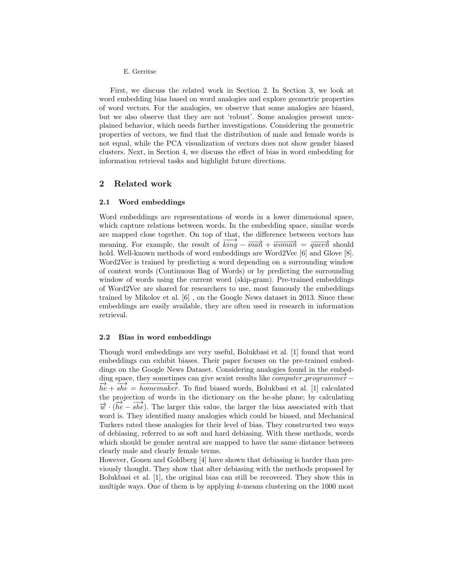#### E. Gerritse

First, we discuss the related work in Section 2. In Section 3, we look at word embedding bias based on word analogies and explore geometric properties of word vectors. For the analogies, we observe that some analogies are biased, but we also observe that they are not 'robust'. Some analogies present unexplained behavior, which needs further investigations. Considering the geometric properties of vectors, we find that the distribution of male and female words is not equal, while the PCA visualization of vectors does not show gender biased clusters. Next, in Section 4, we discuss the effect of bias in word embedding for information retrieval tasks and highlight future directions.

## 2 Related work

## 2.1 Word embeddings

Word embeddings are representations of words in a lower dimensional space, which capture relations between words. In the embedding space, similar words are mapped close together. On top of that, the difference between vectors has meaning. For example, the result of  $\overrightarrow{king} - \overrightarrow{man} + \overrightarrow{woman} = \overrightarrow{queen}$  should hold. Well-known methods of word embeddings are Word2Vec [6] and Glove [8]. Word2Vec is trained by predicting a word depending on a surrounding window of context words (Continuous Bag of Words) or by predicting the surrounding window of words using the current word (skip-gram). Pre-trained embeddings of Word2Vec are shared for researchers to use, most famously the embeddings trained by Mikolov et al. [6] , on the Google News dataset in 2013. Since these embeddings are easily available, they are often used in research in information retrieval.

### 2.2 Bias in word embeddings

Though word embeddings are very useful, Bolukbasi et al. [1] found that word embeddings can exhibit biases. Their paper focuses on the pre-trained embeddings on the Google News Dataset. Considering analogies found in the embedding space, they sometimes can give sexist results like  $\overline{computer\_programmer}$  –  $\overrightarrow{he} + \overrightarrow{she} = \overrightarrow{homemaker}$ . To find biased words, Bolukbasi et al. [1] calculated the projection of words in the dictionary on the he-she plane; by calculating  $\overrightarrow{w}$  · ( $\overrightarrow{he} - \overrightarrow{she}$ ). The larger this value, the larger the bias associated with that word is. They identified many analogies which could be biased, and Mechanical Turkers rated these analogies for their level of bias. They constructed two ways of debiasing, referred to as soft and hard debiasing. With these methods, words which should be gender neutral are mapped to have the same distance between clearly male and clearly female terms.

However, Gonen and Goldberg [4] have shown that debiasing is harder than previously thought. They show that after debiasing with the methods proposed by Bolukbasi et al. [1], the original bias can still be recovered. They show this in multiple ways. One of them is by applying  $k$ -means clustering on the 1000 most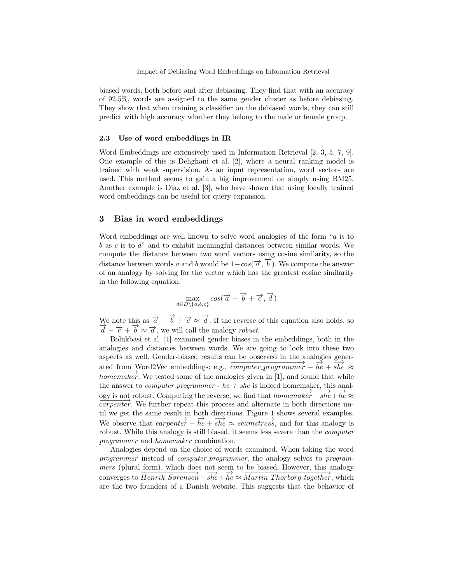biased words, both before and after debiasing. They find that with an accuracy of 92.5%, words are assigned to the same gender cluster as before debiasing. They show that when training a classifier on the debiased words, they can still predict with high accuracy whether they belong to the male or female group.

## 2.3 Use of word embeddings in IR

Word Embeddings are extensively used in Information Retrieval [2, 3, 5, 7, 9]. One example of this is Dehghani et al. [2], where a neural ranking model is trained with weak supervision. As an input representation, word vectors are used. This method seems to gain a big improvement on simply using BM25. Another example is Diaz et al. [3], who have shown that using locally trained word embeddings can be useful for query expansion.

## 3 Bias in word embeddings

Word embeddings are well known to solve word analogies of the form " $a$  is to  $b$  as c is to  $d'$  and to exhibit meaningful distances between similar words. We compute the distance between two word vectors using cosine similarity, so the distance between words a and b would be  $1-cos(\vec{a}, \vec{b})$ . We compute the answer of an analogy by solving for the vector which has the greatest cosine similarity in the following equation:

$$
\max_{d \in D \setminus \{a, b, c\}} cos(\overrightarrow{a} - \overrightarrow{b} + \overrightarrow{c}, \overrightarrow{d})
$$

We note this as  $\vec{a} - \vec{b} + \vec{c} \approx \vec{d}$ . If the reverse of this equation also holds, so  $\frac{\overline{d}}{d} - \overline{c} + \overline{b} \approx \overline{d}$ , we will call the analogy robust.

Bolukbasi et al. [1] examined gender biases in the embeddings, both in the analogies and distances between words. We are going to look into these two aspects as well. Gender-biased results can be observed in the analogies generated from Word2Vec embeddings; e.g.,  $\overrightarrow{computer\_programmer} - \overrightarrow{he} + \overrightarrow{she} \approx$  $\overline{homemaker}$ . We tested some of the analogies given in [1], and found that while the answer to *computer programmer* -  $he + she$  is indeed homemaker, this analogy is not robust. Computing the reverse, we find that  $\overrightarrow{homemaker} - \overrightarrow{she} + \overrightarrow{he} \approx$  $capenter$ . We further repeat this process and alternate in both directions until we get the same result in both directions. Figure 1 shows several examples. We observe that  $\overrightarrow{cancel} - \overrightarrow{he} + \overrightarrow{she} \approx \overrightarrow{seamstress}$ , and for this analogy is robust. While this analogy is still biased, it seems less severe than the *computer* programmer and homemaker combination.

Analogies depend on the choice of words examined. When taking the word programmer instead of computer-programmer, the analogy solves to programmers (plural form), which does not seem to be biased. However, this analogy converges to  $\overrightarrow{Henrik\_Sørensen - she + he} \approx \overrightarrow{Martin\_Thorborg\_together}$ , which are the two founders of a Danish website. This suggests that the behavior of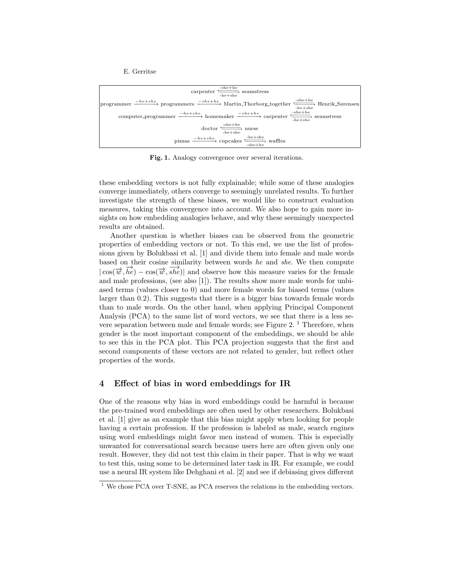E. Gerritse



Fig. 1. Analogy convergence over several iterations.

these embedding vectors is not fully explainable; while some of these analogies converge immediately, others converge to seemingly unrelated results. To further investigate the strength of these biases, we would like to construct evaluation measures, taking this convergence into account. We also hope to gain more insights on how embedding analogies behave, and why these seemingly unexpected results are obtained.

Another question is whether biases can be observed from the geometric properties of embedding vectors or not. To this end, we use the list of professions given by Bolukbasi et al. [1] and divide them into female and male words based on their cosine similarity between words he and she. We then compute  $|\cos(\vec{w}, \vec{he}) - \cos(\vec{w}, \vec{she})|$  and observe how this measure varies for the female and male professions, (see also [1]). The results show more male words for unbiased terms (values closer to 0) and more female words for biased terms (values larger than 0.2). This suggests that there is a bigger bias towards female words than to male words. On the other hand, when applying Principal Component Analysis (PCA) to the same list of word vectors, we see that there is a less severe separation between male and female words; see Figure  $2.1$  Therefore, when gender is the most important component of the embeddings, we should be able to see this in the PCA plot. This PCA projection suggests that the first and second components of these vectors are not related to gender, but reflect other properties of the words.

## 4 Effect of bias in word embeddings for IR

One of the reasons why bias in word embeddings could be harmful is because the pre-trained word embeddings are often used by other researchers. Bolukbasi et al. [1] give as an example that this bias might apply when looking for people having a certain profession. If the profession is labeled as male, search engines using word embeddings might favor men instead of women. This is especially unwanted for conversational search because users here are often given only one result. However, they did not test this claim in their paper. That is why we want to test this, using some to be determined later task in IR. For example, we could use a neural IR system like Dehghani et al. [2] and see if debiasing gives different

<sup>&</sup>lt;sup>1</sup> We chose PCA over T-SNE, as PCA reserves the relations in the embedding vectors.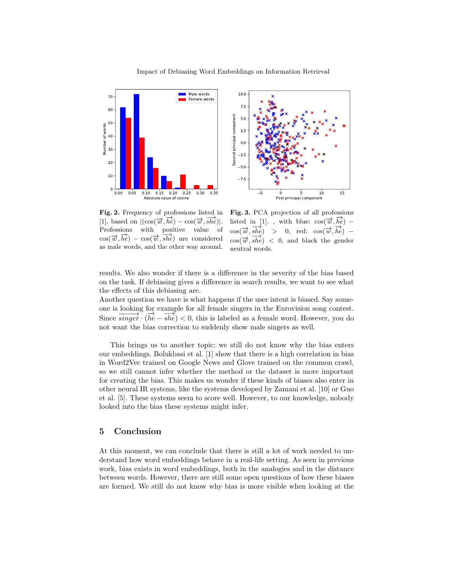



Fig. 2. Frequency of professions listed in [1], based on  $|(\cos(\vec{w}, \vec{he}) - \cos(\vec{w}, \vec{she})|$ . Professions with positive value of  $cos(\vec{w}, \vec{he}) - cos(\vec{w}, \vec{she})$  are considered as male words, and the other way around.

Fig. 3. PCA projection of all professions listed in [1]., with blue:  $\cos(\vec{w}, \vec{he})$  –  $\cos(\vec{w}, \vec{she}) > 0$ , red:  $\cos(\vec{w}, \vec{he})$  –  $\cos(\vec{w}, \vec{she})$  < 0, and black the gender neutral words.

results. We also wonder if there is a difference in the severity of the bias based on the task. If debiasing gives a difference in search results, we want to see what the effects of this debiasing are.

Another question we have is what happens if the user intent is biased. Say someone is looking for example for all female singers in the Eurovision song contest. Since  $\frac{\text{Sioning of}}{\text{Singer}}$ ,  $\frac{\text{Sioning of}}{\text{Sine}}$ ,  $\frac{\text{Sioning of}}{\text{Sine}}$ ,  $\frac{\text{Sioning of}}{\text{Sine}}$ ,  $\frac{\text{Sioning of}}{\text{Sine}}$ ,  $\frac{\text{Sioning of}}{\text{Sine}}$ ,  $\frac{\text{Sioning of}}{\text{Sine}}$ ,  $\frac{\text{Sioning of}}{\text{Sine}}$ ,  $\frac{\text{Sioning of}}{\text{Sine}}$ ,  $\frac{\text{Sioning of}}{\text{Sine}}$ ,  $\frac{\text{Sioning of}}{\text{S$ not want the bias correction to suddenly show male singers as well.

This brings us to another topic: we still do not know why the bias enters our embeddings. Bolukbasi et al. [1] show that there is a high correlation in bias in Word2Vec trained on Google News and Glove trained on the common crawl, so we still cannot infer whether the method or the dataset is more important for creating the bias. This makes us wonder if these kinds of biases also enter in other neural IR systems, like the systems developed by Zamani et al. [10] or Guo et al. [5]. These systems seem to score well. However, to our knowledge, nobody looked into the bias these systems might infer.

# 5 Conclusion

At this moment, we can conclude that there is still a lot of work needed to understand how word embeddings behave in a real-life setting. As seen in previous work, bias exists in word embeddings, both in the analogies and in the distance between words. However, there are still some open questions of how these biases are formed. We still do not know why bias is more visible when looking at the